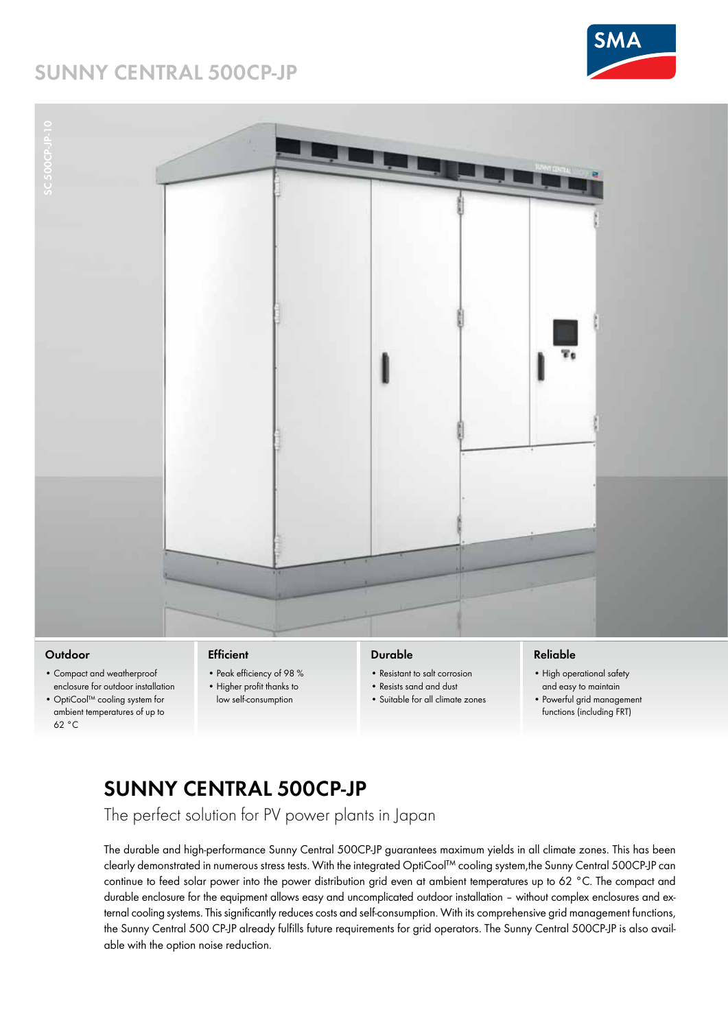## **SUNNY CENTRAL 500CP-JP**







### **Outdoor**

- Compact and weatherproof enclosure for outdoor installation
- OptiCool™ cooling system for ambient temperatures of up to 62 °C

### **Efficient**

- Peak efficiency of 98 % • Higher profit thanks to
- low self-consumption

### **Durable**

- Resistant to salt corrosion
- Resists sand and dust
- Suitable for all climate zones

### **Reliable**

- High operational safety and easy to maintain
- Powerful grid management functions (including FRT)

# **SUNNY CENTRAL 500CP-JP**

The perfect solution for PV power plants in Japan

The durable and high-performance Sunny Central 500CP-JP guarantees maximum yields in all climate zones. This has been clearly demonstrated in numerous stress tests. With the integrated OptiCool™ cooling system,the Sunny Central 500CP-JP can continue to feed solar power into the power distribution grid even at ambient temperatures up to 62 °C. The compact and durable enclosure for the equipment allows easy and uncomplicated outdoor installation – without complex enclosures and external cooling systems. This significantly reduces costs and self-consumption. With its comprehensive grid management functions, the Sunny Central 500 CP-JP already fulfills future requirements for grid operators. The Sunny Central 500CP-JP is also available with the option noise reduction.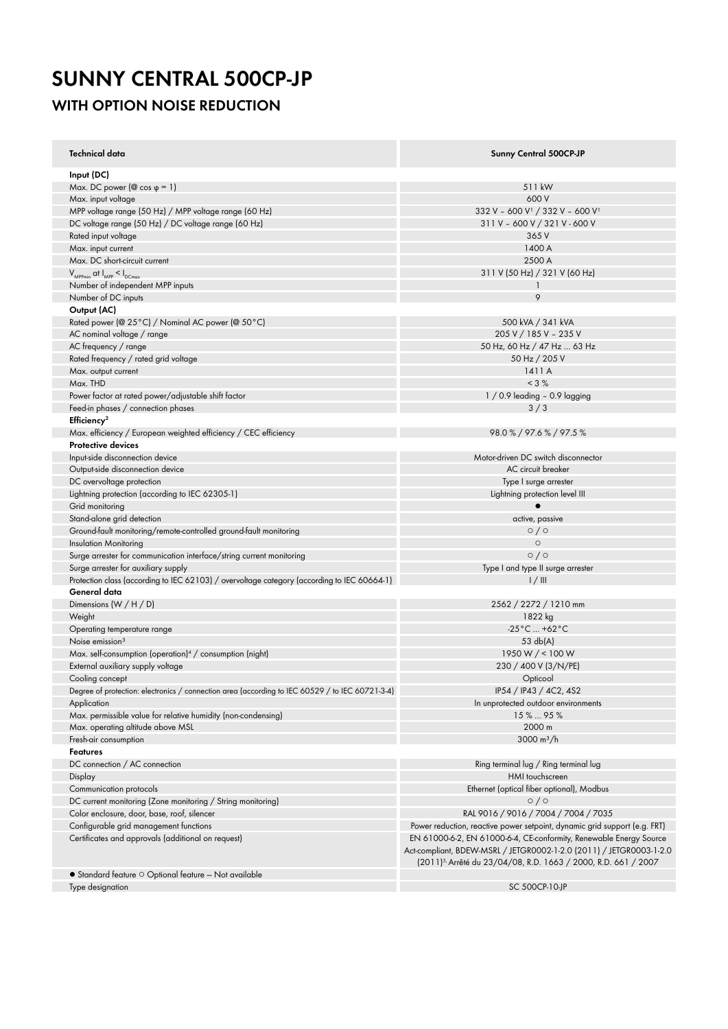## **SUNNY CENTRAL 500CP-JP WITH OPTION NOISE REDUCTION**

| <b>Technical data</b>                                                                           | <b>Sunny Central 500CP-JP</b>                                                                                                                                                                                          |
|-------------------------------------------------------------------------------------------------|------------------------------------------------------------------------------------------------------------------------------------------------------------------------------------------------------------------------|
| Input (DC)                                                                                      |                                                                                                                                                                                                                        |
| Max. DC power ( $@$ cos $\varphi = 1$ )                                                         | 511 kW                                                                                                                                                                                                                 |
| Max. input voltage                                                                              | 600 V                                                                                                                                                                                                                  |
| MPP voltage range (50 Hz) / MPP voltage range (60 Hz)                                           | 332 V - 600 V <sup>1</sup> / 332 V - 600 V <sup>1</sup>                                                                                                                                                                |
| DC voltage range (50 Hz) / DC voltage range (60 Hz)                                             | 311 V - 600 V / 321 V - 600 V                                                                                                                                                                                          |
| Rated input voltage                                                                             | 365 V                                                                                                                                                                                                                  |
| Max. input current                                                                              | 1400 A                                                                                                                                                                                                                 |
| Max. DC short-circuit current                                                                   | 2500 A                                                                                                                                                                                                                 |
| $V_{\text{MPPmin}}$ at $I_{\text{MPP}} < I_{\text{DCmax}}$                                      | 311 V (50 Hz) / 321 V (60 Hz)                                                                                                                                                                                          |
| Number of independent MPP inputs                                                                |                                                                                                                                                                                                                        |
| Number of DC inputs                                                                             | 9                                                                                                                                                                                                                      |
| Output (AC)                                                                                     |                                                                                                                                                                                                                        |
| Rated power (@ 25°C) / Nominal AC power (@ 50°C)                                                | 500 kVA / 341 kVA                                                                                                                                                                                                      |
| AC nominal voltage / range                                                                      | 205 V / 185 V - 235 V                                                                                                                                                                                                  |
| AC frequency / range                                                                            | 50 Hz, 60 Hz / 47 Hz  63 Hz                                                                                                                                                                                            |
| Rated frequency / rated grid voltage                                                            | 50 Hz / 205 V                                                                                                                                                                                                          |
| Max. output current                                                                             | 1411 A                                                                                                                                                                                                                 |
| Max. THD                                                                                        | $< 3 \%$                                                                                                                                                                                                               |
| Power factor at rated power/adjustable shift factor                                             | $1/0.9$ leading - 0.9 lagging                                                                                                                                                                                          |
| Feed-in phases / connection phases                                                              | 3/3                                                                                                                                                                                                                    |
| Efficiency <sup>2</sup>                                                                         |                                                                                                                                                                                                                        |
| Max. efficiency / European weighted efficiency / CEC efficiency                                 | 98.0%/97.6%/97.5%                                                                                                                                                                                                      |
| <b>Protective devices</b>                                                                       |                                                                                                                                                                                                                        |
| Input-side disconnection device                                                                 | Motor-driven DC switch disconnector                                                                                                                                                                                    |
| Output-side disconnection device                                                                | AC circuit breaker                                                                                                                                                                                                     |
| DC overvoltage protection                                                                       | Type I surge arrester                                                                                                                                                                                                  |
| Lightning protection (according to IEC 62305-1)                                                 | Lightning protection level III                                                                                                                                                                                         |
| Grid monitoring                                                                                 |                                                                                                                                                                                                                        |
| Stand-alone grid detection                                                                      | active, passive                                                                                                                                                                                                        |
| Ground-fault monitoring/remote-controlled ground-fault monitoring                               | 0/0                                                                                                                                                                                                                    |
| <b>Insulation Monitoring</b>                                                                    | $\circ$                                                                                                                                                                                                                |
| Surge arrester for communication interface/string current monitoring                            | 0/0                                                                                                                                                                                                                    |
| Surge arrester for auxiliary supply                                                             | Type I and type II surge arrester                                                                                                                                                                                      |
| Protection class (according to IEC 62103) / overvoltage category (according to IEC 60664-1)     | 1/11                                                                                                                                                                                                                   |
| General data                                                                                    |                                                                                                                                                                                                                        |
| Dimensions $(W / H / D)$                                                                        | 2562 / 2272 / 1210 mm                                                                                                                                                                                                  |
| Weight                                                                                          | 1822 kg                                                                                                                                                                                                                |
| Operating temperature range                                                                     | $-25^{\circ}$ C  +62 $^{\circ}$ C                                                                                                                                                                                      |
| Noise emission <sup>3</sup>                                                                     | 53 db(A)                                                                                                                                                                                                               |
| Max. self-consumption (operation) <sup>4</sup> / consumption (night)                            | 1950 W / < 100 W                                                                                                                                                                                                       |
| External auxiliary supply voltage                                                               | 230 / 400 V (3/N/PE)                                                                                                                                                                                                   |
| Cooling concept                                                                                 | Opticool                                                                                                                                                                                                               |
| Degree of protection: electronics / connection area (according to IEC 60529 / to IEC 60721-3-4) | IP54 / IP43 / 4C2, 4S2                                                                                                                                                                                                 |
| Application                                                                                     | In unprotected outdoor environments                                                                                                                                                                                    |
| Max. permissible value for relative humidity (non-condensing)                                   | 15%  95%                                                                                                                                                                                                               |
| Max. operating altitude above MSL                                                               | 2000 m                                                                                                                                                                                                                 |
| Fresh-air consumption                                                                           | 3000 $m^3/h$                                                                                                                                                                                                           |
| Features                                                                                        |                                                                                                                                                                                                                        |
| DC connection / AC connection                                                                   | Ring terminal lug / Ring terminal lug                                                                                                                                                                                  |
| Display                                                                                         | HMI touchscreen                                                                                                                                                                                                        |
| Communication protocols                                                                         | Ethernet (optical fiber optional), Modbus                                                                                                                                                                              |
| DC current monitoring (Zone monitoring / String monitoring)                                     | $\circ$ / $\circ$                                                                                                                                                                                                      |
| Color enclosure, door, base, roof, silencer                                                     | RAL 9016 / 9016 / 7004 / 7004 / 7035                                                                                                                                                                                   |
| Configurable grid management functions                                                          | Power reduction, reactive power setpoint, dynamic grid support (e.g. FRT)                                                                                                                                              |
| Certificates and approvals (additional on request)                                              | EN 61000-6-2, EN 61000-6-4, CE-conformity, Renewable Energy Source<br>Act-compliant, BDEW-MSRL / JETGR0002-1-2.0 (2011) / JETGR0003-1-2.0<br>(2011) <sup>5</sup> Arrêté du 23/04/08, R.D. 1663 / 2000, R.D. 661 / 2007 |
| $\bullet$ Standard feature $\circ$ Optional feature - Not available                             |                                                                                                                                                                                                                        |
| Type designation                                                                                | SC 500CP-10-JP                                                                                                                                                                                                         |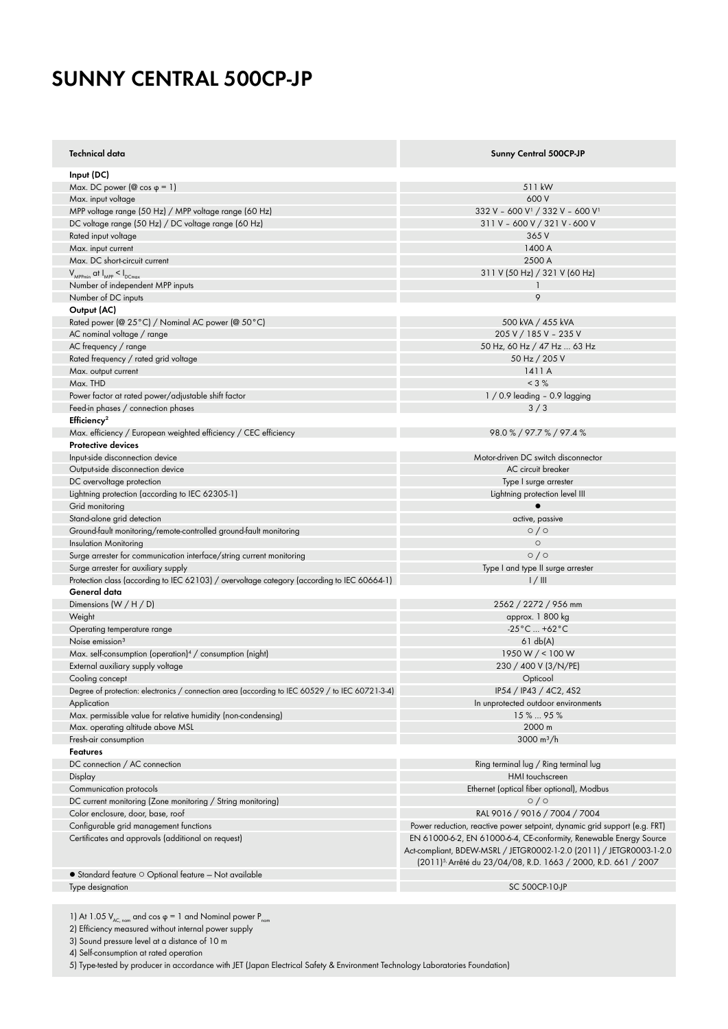# **SUNNY CENTRAL 500CP-JP**

| Technical data                                                                                  | <b>Sunny Central 500CP-JP</b>                                              |
|-------------------------------------------------------------------------------------------------|----------------------------------------------------------------------------|
| Input (DC)                                                                                      |                                                                            |
| Max. DC power ( $\circledcirc$ cos $\circledcirc$ = 1)                                          | 511 kW                                                                     |
| Max. input voltage                                                                              | 600 V                                                                      |
| MPP voltage range (50 Hz) / MPP voltage range (60 Hz)                                           | 332 V - 600 V <sup>1</sup> / 332 V - 600 V <sup>1</sup>                    |
| DC voltage range (50 Hz) / DC voltage range (60 Hz)                                             | 311 V - 600 V / 321 V - 600 V                                              |
| Rated input voltage                                                                             | 365 V                                                                      |
| Max. input current                                                                              | 1400 A                                                                     |
| Max. DC short-circuit current                                                                   | 2500 A                                                                     |
| $V_{\text{MPPmin}}$ at $I_{\text{MPP}} < I_{\text{DCmax}}$                                      | 311 V (50 Hz) / 321 V (60 Hz)                                              |
| Number of independent MPP inputs                                                                | 1                                                                          |
| Number of DC inputs                                                                             | 9                                                                          |
| Output (AC)                                                                                     |                                                                            |
| Rated power (@ 25°C) / Nominal AC power (@ 50°C)                                                | 500 kVA / 455 kVA                                                          |
| AC nominal voltage / range                                                                      | 205 V / 185 V - 235 V                                                      |
| AC frequency / range                                                                            | 50 Hz, 60 Hz / 47 Hz  63 Hz                                                |
| Rated frequency / rated grid voltage                                                            | 50 Hz / 205 V                                                              |
| Max. output current                                                                             | 1411 A                                                                     |
| Max. THD                                                                                        | $< 3 \%$                                                                   |
| Power factor at rated power/adjustable shift factor                                             | $1/0.9$ leading - 0.9 lagging                                              |
| Feed-in phases / connection phases                                                              | 3/3                                                                        |
|                                                                                                 |                                                                            |
| Efficiency <sup>2</sup>                                                                         |                                                                            |
| Max. efficiency / European weighted efficiency / CEC efficiency                                 | 98.0 % / 97.7 % / 97.4 %                                                   |
| <b>Protective devices</b>                                                                       |                                                                            |
| Input-side disconnection device                                                                 | Motor-driven DC switch disconnector                                        |
| Output-side disconnection device                                                                | AC circuit breaker                                                         |
| DC overvoltage protection                                                                       | Type I surge arrester                                                      |
| Lightning protection (according to IEC 62305-1)                                                 | Lightning protection level III                                             |
| Grid monitoring                                                                                 | $\bullet$                                                                  |
| Stand-alone grid detection                                                                      | active, passive                                                            |
| Ground-fault monitoring/remote-controlled ground-fault monitoring                               | $\circ$ / $\circ$                                                          |
| <b>Insulation Monitoring</b>                                                                    | $\circ$                                                                    |
| Surge arrester for communication interface/string current monitoring                            | $\circ$ / $\circ$                                                          |
| Surge arrester for auxiliary supply                                                             | Type I and type II surge arrester                                          |
| Protection class (according to IEC 62103) / overvoltage category (according to IEC 60664-1)     | 1/11                                                                       |
| General data                                                                                    |                                                                            |
| Dimensions $(W / H / D)$                                                                        | 2562 / 2272 / 956 mm                                                       |
| Weight                                                                                          | approx. 1 800 kg                                                           |
| Operating temperature range                                                                     | -25°C  +62°C                                                               |
| Noise emission <sup>3</sup>                                                                     | 61 db(A)                                                                   |
| Max. self-consumption (operation) <sup>4</sup> / consumption (night)                            | 1950 W / < 100 W                                                           |
| External auxiliary supply voltage                                                               | 230 / 400 V (3/N/PE)                                                       |
| Cooling concept                                                                                 | Opticool                                                                   |
| Degree of protection: electronics / connection area (according to IEC 60529 / to IEC 60721-3-4) | IP54 / IP43 / 4C2, 4S2                                                     |
| Application                                                                                     | In unprotected outdoor environments                                        |
| Max. permissible value for relative humidity (non-condensing)                                   | 15%  95%                                                                   |
| Max. operating altitude above MSL                                                               | 2000 m                                                                     |
| Fresh-air consumption                                                                           | 3000 $m^3/h$                                                               |
| Features                                                                                        |                                                                            |
| DC connection / AC connection                                                                   | Ring terminal lug / Ring terminal lug                                      |
| Display                                                                                         | HMI touchscreen                                                            |
| Communication protocols                                                                         | Ethernet (optical fiber optional), Modbus                                  |
| DC current monitoring (Zone monitoring / String monitoring)                                     | $\circ$ / $\circ$                                                          |
| Color enclosure, door, base, roof                                                               | RAL 9016 / 9016 / 7004 / 7004                                              |
| Configurable grid management functions                                                          | Power reduction, reactive power setpoint, dynamic grid support (e.g. FRT)  |
| Certificates and approvals (additional on request)                                              | EN 61000-6-2, EN 61000-6-4, CE-conformity, Renewable Energy Source         |
|                                                                                                 | Act-compliant, BDEW-MSRL / JETGR0002-1-2.0 (2011) / JETGR0003-1-2.0        |
|                                                                                                 | (2011) <sup>5,</sup> Arrêté du 23/04/08, R.D. 1663 / 2000, R.D. 661 / 2007 |
| $\bullet$ Standard feature $\circ$ Optional feature - Not available                             |                                                                            |
| Type designation                                                                                | SC 500CP-10-JP                                                             |
|                                                                                                 |                                                                            |

1) At 1.05  $V_{AC, nom}$  and cos φ = 1 and Nominal power  $P_{nom}$ 

2) Efficiency measured without internal power supply

3) Sound pressure level at a distance of 10 m

4) Self-consumption at rated operation

5) Type-tested by producer in accordance with JET (Japan Electrical Safety & Environment Technology Laboratories Foundation)